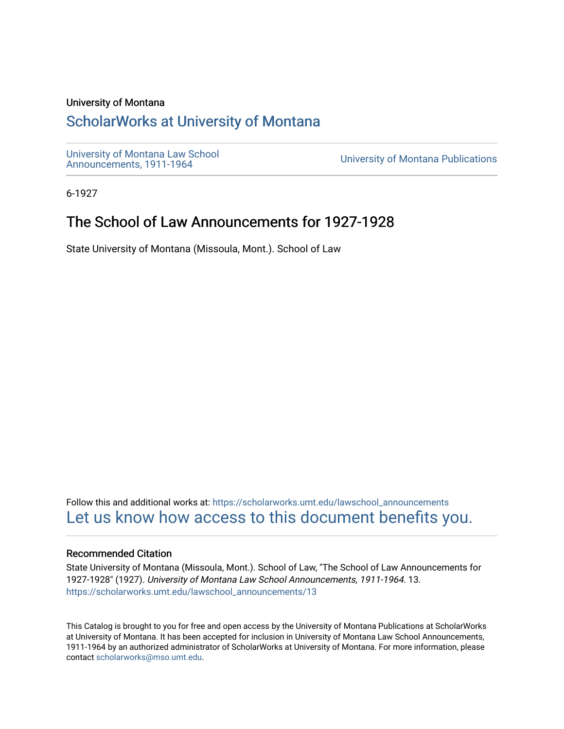# University of Montana

# [ScholarWorks at University of Montana](https://scholarworks.umt.edu/)

[University of Montana Law School](https://scholarworks.umt.edu/lawschool_announcements)<br>Announcements, 1911-1964

**University of Montana Publications** 

6-1927

# The School of Law Announcements for 1927-1928

State University of Montana (Missoula, Mont.). School of Law

Follow this and additional works at: [https://scholarworks.umt.edu/lawschool\\_announcements](https://scholarworks.umt.edu/lawschool_announcements?utm_source=scholarworks.umt.edu%2Flawschool_announcements%2F13&utm_medium=PDF&utm_campaign=PDFCoverPages)  [Let us know how access to this document benefits you.](https://goo.gl/forms/s2rGfXOLzz71qgsB2) 

## Recommended Citation

State University of Montana (Missoula, Mont.). School of Law, "The School of Law Announcements for 1927-1928" (1927). University of Montana Law School Announcements, 1911-1964. 13. [https://scholarworks.umt.edu/lawschool\\_announcements/13](https://scholarworks.umt.edu/lawschool_announcements/13?utm_source=scholarworks.umt.edu%2Flawschool_announcements%2F13&utm_medium=PDF&utm_campaign=PDFCoverPages)

This Catalog is brought to you for free and open access by the University of Montana Publications at ScholarWorks at University of Montana. It has been accepted for inclusion in University of Montana Law School Announcements, 1911-1964 by an authorized administrator of ScholarWorks at University of Montana. For more information, please contact [scholarworks@mso.umt.edu](mailto:scholarworks@mso.umt.edu).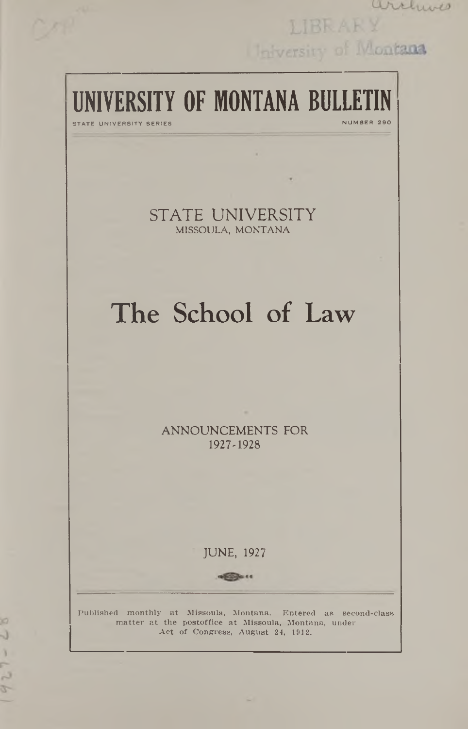archives **LIBRARY** Iniversity of Montana

# UNIVERSITY OF MONTANA BULLETIN

STATE UNIVERSITY SERIES NUMBER 290

× J

 $27 -$ 

o

STATE UNIVERSITY MISSOULA, MONTANA

# The School of Law

ANNOUNCEMENTS FOR 1927-1928

JUNE, 1927

**SECOND CO.** 

Published monthly at Missoula, Montana. Entered as second-class matter at the postoffice at Missoula, Montana, under Act of Congress, August 24, 1912.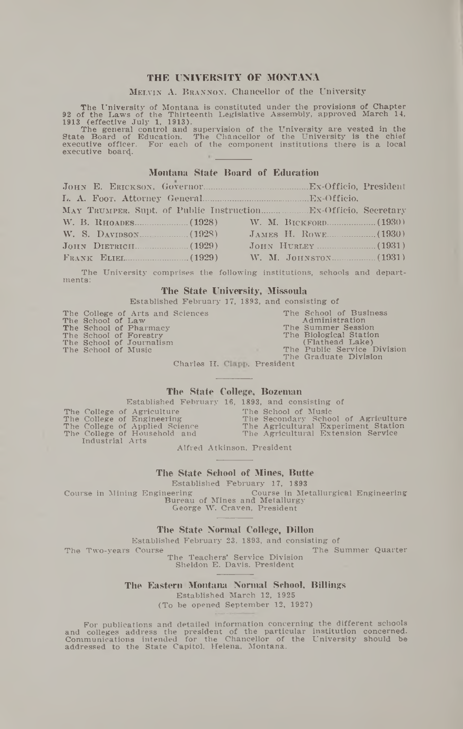#### THE UNIVERSITY OF MONTANA

#### Melvin A. Brannon, Chancellor of the University

The University of Montana is constituted under the provisions of Chapter<br>92 of the Laws of the Thirteenth Legislative Assembly, approved March 14,<br>92 of the University, approved March 14,<br>1913 (effective July 1, 1913).<br>The

#### Montana State Board of Education

| <b>JAMES H. ROWE</b> (1930) |
|-----------------------------|
|                             |
|                             |

The University comprises the following institutions, schools and departments:

#### The State University, Missoula

Established February 17, 1893, and consisting of

| The School of Law |                     | The College of Arts and Sciences<br>The School of Pharmacy<br>The School of Forestry<br>The School of Journalism |  |  |  |                             | The School of Business<br>Administration<br>The Summer Session<br>The Biological Station<br>(Flathead Lake) |
|-------------------|---------------------|------------------------------------------------------------------------------------------------------------------|--|--|--|-----------------------------|-------------------------------------------------------------------------------------------------------------|
|                   | The School of Music |                                                                                                                  |  |  |  |                             | The Public Service Division<br>The Graduate Division                                                        |
|                   |                     |                                                                                                                  |  |  |  | Charles H. Clapp. President |                                                                                                             |

#### The State College, Bozeman

Established February 16, 1893, and consisting of

| The College of Agriculture.<br>The College of Engineering<br>The College of Applied Science<br>The College of Household and |                            | The School of Music<br>The Secondary School of Agriculture<br>The Agricultural Experiment Station<br>The Agricultural Extension Service |  |
|-----------------------------------------------------------------------------------------------------------------------------|----------------------------|-----------------------------------------------------------------------------------------------------------------------------------------|--|
| Industrial Arts                                                                                                             |                            |                                                                                                                                         |  |
|                                                                                                                             | Alfred Astrinoon Dussident |                                                                                                                                         |  |

Alfred Atkinson, President

The State School of Mines, Butte

Established February 17, 1893<br>Course in Mining Engineering Course in Me C ourse in M ining E n g in e e rin g C ourse in M etallu rg ic al E n g in e e rin g B u re au of M ines a n d M etallu rg y G eorge W . C raven, P re sid e n t

#### The State Normal College, Dillon

Established February 23, 1893, and consisting of

The Two-years Course The Summer Quarter The Teachers' Service Division Sheldon E. Davis, President

#### The Eastern Montana Normal School, Billings

Established March 12, 1925 (To be opened September 12, 1927)

For publications and detailed information concerning the different schools<br>and colleges address the president of the particular institution concerned.<br>Communications intended for the Chancellor of the University should be<br>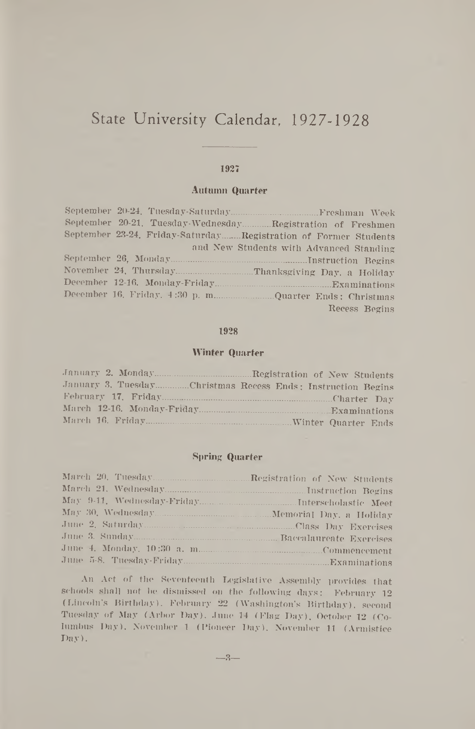# State University Calendar, 1927-1928

#### 1927

#### Autumn Quarter

|  | September 20-21. Tuesday-WednesdayRegistration of Freshmen      |
|--|-----------------------------------------------------------------|
|  | September 23-24, Friday-SaturdayRegistration of Former Students |
|  | and New Students with Advanced Standing                         |
|  |                                                                 |
|  |                                                                 |
|  |                                                                 |
|  |                                                                 |
|  | Recess Begins                                                   |

#### 1928

## Winter Quarter

| January 3. TuesdayChristmas Recess Ends; Instruction Begins |  |
|-------------------------------------------------------------|--|
|                                                             |  |
|                                                             |  |
|                                                             |  |

#### Spring Quarter

| June 2, Saturday Class Day Exercises |  |
|--------------------------------------|--|
|                                      |  |
|                                      |  |
|                                      |  |

An Act of the Seventeenth Legislative Assembly provides that schools shall not be dismissed on the following days: February 12 (Lincoln's Birthday), February 22 (Washington's Birthday), second Tuesday of May (Arbor Day), June 14 (Flag Day), October 12 (Columbus Day), November 1 (Pioneer Day), November 11 (Armistice Day).

— **3**—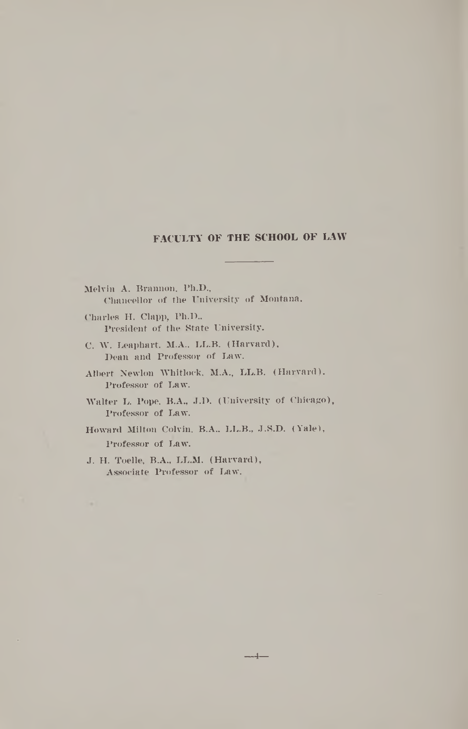## FACULTY OF THE SCHOOL OF LAW

 $-4-$ 

- Melvin A. Brannon. Ph.D., Chancellor of the University of Montana.
- Charles H. Clapp, Ph.D., President of the State University.
- C. W. Leaphart, M.A., LL.B. (Harvard), Dean and Professor of Law.
- Albert Newlon Whitlock, M.A., LL.B. (Harvard). Professor of Law.
- Walter L. Pope, B.A., J.D. (University of Chicago), Professor of Law.

Howard Milton Colvin. B.A., LL.B., J.S.D. (Yale), Professor of Law.

J. H. Toelle, B.A., LL.M. (Harvard), Associate Professor of Law.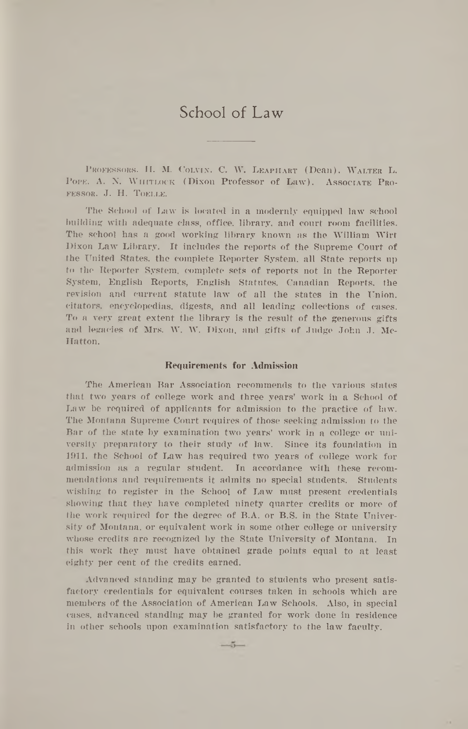# School of Law

PROFESSORS. H. M. COLVIN. C. W. LEAPHART (Dean), WALTER L. POPE. A. N. WHITLOCK (Dixon Professor of Law). Associate PROfessor, J. H. Toelle.

The School of Law is located in a modernly equipped law school building with adequate class, office, library, and court room facilities. The school has a good working library known as the William Wirt Dixon Law Library. It includes the reports of the Supreme Court of the United States, the complete Reporter System, all State reports up to the Reporter System, complete sets of reports not in the Reporter System, English Reports, English Statutes, Canadian Reports, the revision and current statute law of all the states in the Union, citators. encyclopedias, digests, and all leading collections of cases. To a very great extent the library is the result of the generous gifts and legacies of Mrs. W. W. Dixon, and gifts of Judge John J. Mc-Hatton.

#### Requirements for Admission

The American Bar Association recommends to the various states that two years of college work and three years' work in a School of Law be required of applicants for admission to the practice of law. The Montana Supreme Court requires of those seeking admission to the Bar of the state by examination two years' work in a college or university preparatory to their study of law. Since its foundation in 1911, the School of Law has required two years of college work for admission as a regular student. In accordance with these recommendations and requirements it admits no special students. Students wishing to register in the School of Law must present credentials showing that they have completed ninety quarter credits or more of the work required for the degree of B.A. or B.S. in the State University of Montana, or equivalent work in some other college or university whose credits are recognized by the State University of Montana. In this work they must have obtained grade points equal to at least eighty per cent of the credits earned.

Advanced standing may be granted to students who present satisfactory credentials for equivalent courses taken in schools which are members of the Association of American Law Schools. Also, in special cases, advanced standing may be granted for work done in residence in other schools upon examination satisfactory to the law faculty.

 $-5$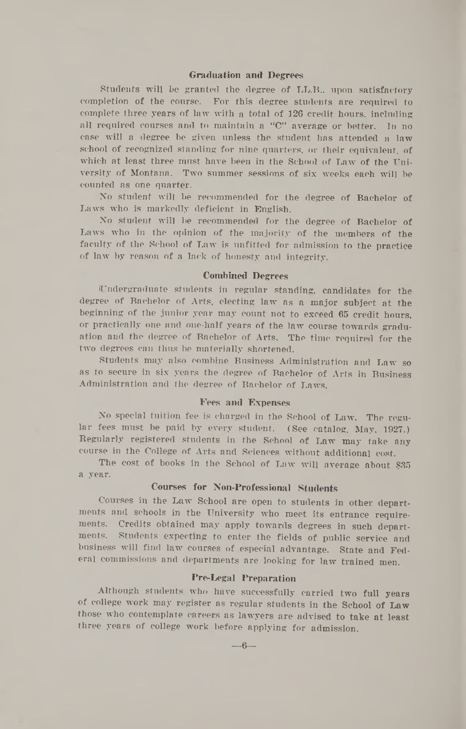#### Graduation and Degrees

Students will be granted the degree of LL.B., upon satisfactory completion of the course. For this degree students are required to complete three years of law with a total of 126 credit hours, including all required courses and to maintain a "C" average or better. In no case will a degree be given unless the student has attended a law school of recognized standing for nine quarters, or their equivalent, of which at least three must have been in the School of Law of the University of Montana. Two summer sessions of six weeks each will be counted as one quarter.

No student will be recommended for the degree of Bachelor of Laws who is markedly deficient in English.

No student will be recommended for the degree of Bachelor of Laws who in the opinion of the majority of the members of the faculty of the School of Law is unfitted for admission to the practice of law by reason of a lack of honesty and integrity.

#### Combined Degrees

Undergraduate students in regular standing, candidates for the degree of Bachelor of Arts, electing law as a major subject at the beginning of the junior year may count not to exceed 65 credit hours, or practically one and one-half years of the law course towards graduation and the degree of Bachelor of Arts. The time required for the two degrees can thus be materially shortened.

Students may also combine Business Administration and Law so as to secure in six years the degree of Bachelor of Arts in Business Administration and the degree of Bachelor of Laws.

#### Fees and Expenses

No special tuition fee is charged in the School of Law. The regular fees must be paid by every student. (See catalog, May, 1927.) Regularly registered students in the School of Law may take any course in the College of Arts and Sciences without additional cost.

The cost of books in the School of Law will average about \$35 a year.

## Courses for Non-Professional Students

Courses in the Law School are open to students in other departments and schools in the University who meet its entrance requirements. Credits obtained may apply towards degrees in such departments. Students expecting to enter the fields of public service and business will find law courses of especial advantage. State and Federal commissions and departments are looking for law trained men.

#### Pre-Legal Preparation

Although students who have successfully carried two full years of college work may register as regular students in the School of Law those who contemplate careers as lawyers are advised to take at least three years of college work before applying for admission.

— **6**—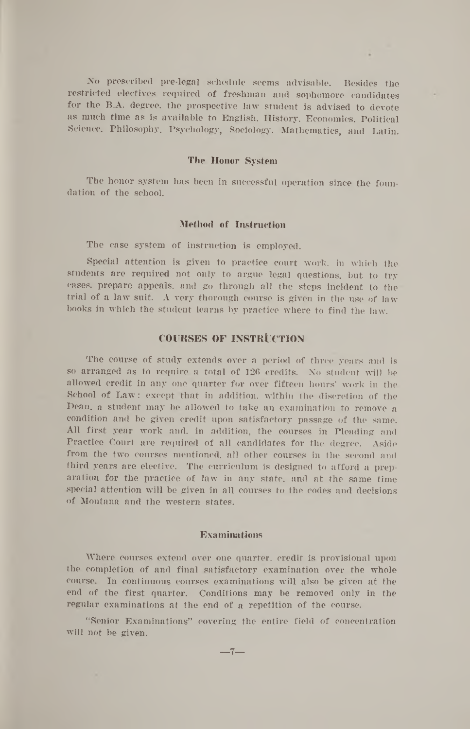No prescribed pre-legal schedule seems advisable.. Besides the restricted electives required of freshman and sophomore candidates for the B.A. degree, the prospective law student is advised to devote as much time as is available to English, History, Economics, Political Science, Philosophy, Psychology, Sociology, Mathematics, and Latin.

#### The Honor System

The honor system has been in successful operation since the foundation of the school.

#### Method of Instruction

The case system of instruction is employed.

Special attention is given to practice court work, in which the students are required not only to argue legal questions, but to try cases, prepare appeals, and go through all the steps incident to the trial of a law suit. A very thorough course is given in the use of law books in which the student learns by practice where to find the law.

## COURSES OF INSTRUCTION

The course of study extends over a period of three years and is so arranged as to require a total of 126 credits. No student will be allowed credit in any one quarter for over fifteen hours' work in the School of Law; except that in addition, within the discretion of the Dean, a student may be allowed to take an examination to remove a condition and be given credit upon satisfactory passage of the same. All first year work and, in addition, the courses in Pleading and Practice Court are required of all candidates for the degree. Aside from the two courses mentioned, all other courses in the second and third years are elective. The curriculum is designed to afford a preparation for the practice of law in any state, and at the same time special attention will be given in all courses to the codes and decisions of Montana and the western states.

#### Examinations

Where courses extend over one quarter, credit is provisional upon the completion of and final satisfactory examination over the whole course. In continuous courses examinations will also be given at the end of the first quarter. Conditions may be removed only in the regular examinations at the end of a repetition of the course.

"Senior Examinations" covering the entire field of concentration will not be given.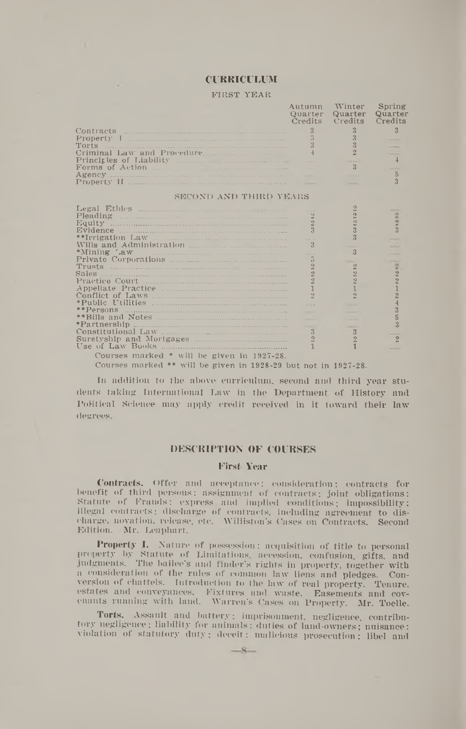#### **CURRICULUM**

#### FIRST YEAR

|                                                                                                                                                                                                                               | Autumn<br>Quarter<br>Credits | Winter<br>Quarter<br>Credits | Spring<br>Quarter<br>Credits |
|-------------------------------------------------------------------------------------------------------------------------------------------------------------------------------------------------------------------------------|------------------------------|------------------------------|------------------------------|
|                                                                                                                                                                                                                               | 3                            | $\overline{3}$               | $\mathbf{R}$                 |
|                                                                                                                                                                                                                               | $\boldsymbol{3}$             | 3                            |                              |
| Torts                                                                                                                                                                                                                         | $\mathfrak{Z}$               | 3                            | <b>SHARA</b>                 |
|                                                                                                                                                                                                                               |                              | $\Omega$                     |                              |
|                                                                                                                                                                                                                               | 1.1.1                        | <b>TAXABLE</b>               | 4                            |
|                                                                                                                                                                                                                               | $\sim$                       | $\mathbf{R}$                 |                              |
|                                                                                                                                                                                                                               |                              |                              | <b>COLOR</b><br>5            |
|                                                                                                                                                                                                                               | <b>COLLEGE</b>               | 111111                       |                              |
|                                                                                                                                                                                                                               | <b>STATE</b>                 | <b>STATISTICS</b>            |                              |
| SECOND AND THIRD YEARS                                                                                                                                                                                                        |                              |                              |                              |
|                                                                                                                                                                                                                               |                              | $\overline{2}$               | <b>Highland</b>              |
|                                                                                                                                                                                                                               |                              | 6                            | 2                            |
|                                                                                                                                                                                                                               | $\overline{2}$               | $\sqrt{ }$                   | $\overline{2}$               |
|                                                                                                                                                                                                                               |                              | 3                            | $\overline{3}$               |
|                                                                                                                                                                                                                               |                              | $\overline{\mathbf{3}}$      |                              |
|                                                                                                                                                                                                                               |                              |                              |                              |
|                                                                                                                                                                                                                               | 3                            | <b>SALE</b>                  | <b>Arrest Ave</b>            |
| *Mining Law manufacturers and the service of the service of the service of the service of the service of the service of the service of the service of the service of the service of the service of the service of the service |                              | $\mathcal{R}$                | <b>STATISTICS</b>            |
|                                                                                                                                                                                                                               | $\overline{5}$               | <b>CALL AND</b>              | <b>BUILDER</b>               |
|                                                                                                                                                                                                                               | $\frac{2}{2}$                |                              | $\overline{2}$               |
| Sales                                                                                                                                                                                                                         |                              | $\overline{2}$               | $\overline{2}$               |
|                                                                                                                                                                                                                               |                              | $\overline{2}$               | $\overline{2}$               |
|                                                                                                                                                                                                                               |                              |                              |                              |
| Appellate Practice                                                                                                                                                                                                            |                              | $\Omega$                     |                              |
|                                                                                                                                                                                                                               |                              |                              | $\overline{2}$               |
|                                                                                                                                                                                                                               | 1.111                        | <b>STATISTICS</b>            | $\overline{4}$               |
|                                                                                                                                                                                                                               | <b>State of</b>              | <b>STATISTICS</b>            | $\overline{3}$               |
|                                                                                                                                                                                                                               | <b>Service</b>               | <b>STATISTICS</b>            | $\overline{5}$               |
|                                                                                                                                                                                                                               | <b>Council</b>               | <b>SALES</b>                 |                              |
|                                                                                                                                                                                                                               | $\mathcal{R}$                | $\mathbf{3}$                 | <b>Alexandro</b>             |
|                                                                                                                                                                                                                               | $\overline{2}$               | $\circ$                      | $\overline{2}$               |
|                                                                                                                                                                                                                               |                              |                              |                              |
| $C_{\text{m}}$ and $C_{\text{m}}$ and $C_{\text{m}}$ and $C_{\text{m}}$ and $C_{\text{m}}$ and $C_{\text{m}}$ and $C_{\text{m}}$                                                                                              |                              |                              | ----                         |

Courses marked \*\* will be given in 1928-29 but not in 1927-28.

In addition to the above curriculum, second and third year students taking International Law in the Department of History and Political Science may apply credit received in it toward their law degrees.

#### **DESCRIPTION OF COURSES**

#### **First Year**

**Contracts.** Offer and acceptance; consideration; contracts for benefit of third persons; assignment of contracts; joint obligations; Statute of Frauds: express and implied conditions; impossibility; illegal contracts; discharge of contracts, including agreement to discharge, novation, release, etc. Williston's Cases on Contracts. Second Edition. Mr. Leaphart.

Property I. Nature of possession; acquisition of title to personal property by Statute of Limitations, accession, confusion, gifts, and judgments. The bailee's and finder's rights in property, together with a consideration of the rules of common law liens and pledges. Conversion of chattels. Introduction to the law of real property. Tenure, estates and conveyances. Fixtures and waste. Easements and covenants running with land. Warren's Cases on Property. Mr. Toelle.

Torts. Assault and battery; imprisonment, negligence, contributory negligence; liability for animals; duties of land-owners; nuisance; violation of statutory duty; deceit; malicious prosecution; libel and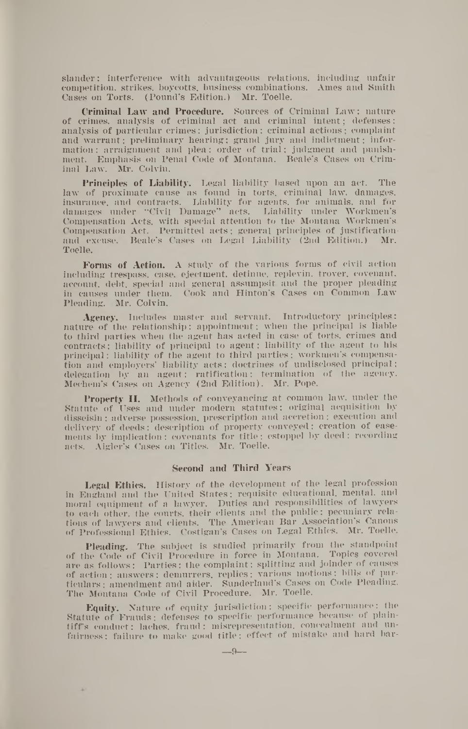slander; interference with advantageous relations, including unfair competition, strikes, boycotts, business combinations. Ames and Smith Cases on Torts. (Pound's Edition.) Mr. Toelle. Cases on Torts. (Pound's Edition.)

Criminal Law and Procedure. Sources of Criminal Law: nature of crimes, analysis of criminal act and criminal intent; defenses; analysis of particular crimes; jurisdiction: criminal actions; complaint and warrant; preliminary hearing; grand jury and indictment; information; arraignment and plea; order of trial; judgment and punishment. Emphasis on Penal Code of Montana. Beale's Cases on Criminal Law. Mr. Colvin.

Principles of Liability. Legal liability based upon an act. The law of proximate cause as found in torts, criminal law, damages, insurance, and contracts. Liability for agents, for animals, and for damages under "Civil Damage" acts. Liability under Workmen's Compensation Acts, with special attention to the Montana Workmen's Compensation Act. Permitted acts; general principles of justificationand excuse. Beale's Cases on Legal Liability (2nd Edition.) Toelle.

Forms of Action. A study of the various forms of civil action including trespass, case, ejectment, detinue, replevin, trover, covenant, account, debt, special and general assumpsit and the proper pleading in causes under them. Cook and Hinton's Cases on Common Law Pleading. Mr. Colvin.

Agency. Includes master and servant. Introductory principles: nature of the relationship; appointment; when the principal is liable to third parties when the agent has acted in case of torts, crimes and contracts; liability of principal to agent; liability of the agent to his principal; liability of the agent to third parties; workmen's compensation and employers' liability acts; doctrines of undisclosed principal; delegation by an agent; ratification: termination of the agency. Mechem's Cases on Agency (2nd Edition). Mr. Pope.

Property II. Methods of conveyancing at common law, under the Statute of Uses and under modern statutes; original acquisition by disseisin; adverse possession, prescription and accretion; execution and delivery of deeds; description of property conveyed; creation of easements by implication; covenants for title; estoppel by deed; recording acts. Aigler's Cases on Titles. Mr. Toelle.

#### Second and Third Years

Legal Ethics. History of the development of the legal profession in England and the United States; requisite educational, mental, and moral equipment of a lawyer. Duties and responsibilities of lawyers to each other, the courts, their clients and the public; pecuniary relations of lawyers and clients. The American Bar Association's Canons of Professional Ethics. Costigan's Cases on Legal Ethics. Mr. Toelle.

Pleading. The subject is studied primarily from the standpoint of the Code of Civil Procedure in force in Montana. Topics covered are as follows: Parties; the complaint; splitting and joinder of causes of action; answers; demurrers, replies; various motions: bills of particulars ; amendment and aider. Sunderland's Cases on Code Pleading. The Montana Code of Civil Procedure. Mr. Toelle.

Equity. Nature of equity jurisdiction; specific performance: the Statute of Frauds; defenses to specific performance because of plaintiff's conduct; laches, fraud; misrepresentation, concealment and unfairness : failure to make good title: effect of mistake and hard bar

×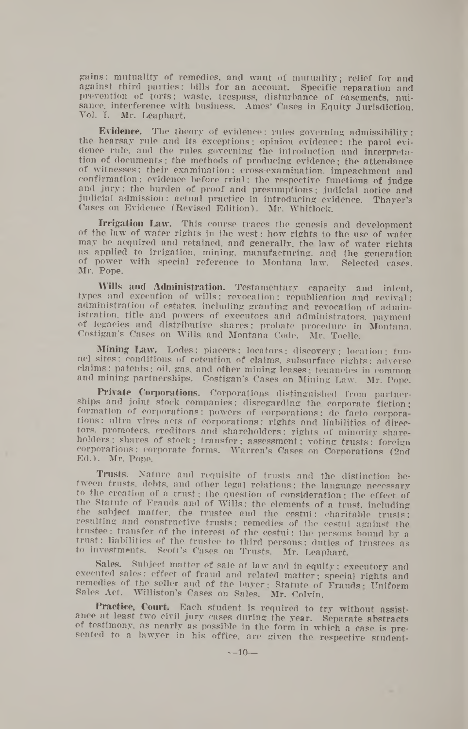gains: mutuality of remedies, and want of mutuality; relief for and against third parties: bills for an account. Specific reparation and prevention of torts; waste, trespass, disturbance of easements, nuisance, interference with business. Ames' Cases in Equity Jurisdiction. Vol. I. Mr. Leaphart.

Evidence. The theory of evidence; rules governing admissibility; the hearsay rule and its exceptions; opinion evidence; the parol evidence rule, and the rules governing the introduction and interpretation of documents: the methods of producing evidence; the attendance of witnesses; their examination; cross-examination, impeachment and confirmation; evidence before trial; the respective functions of judge and jury; the burden of proof and presumptions; judicial notice and judicial admission; actual practice in introducing evidence. Thayer's Cases on Evidence (Revised Edition). Mr. Whitlock.

Irrigation Law. This course traces the genesis and development of the law of water rights in the west; how rights to the use of water may be acquired and retained, and generally, the law of water rights as applied to irrigation, mining, manufacturing, and the generation of power with special reference to Montana law. Selected cases. Mr. Pope.

Wills and Administration. Testamentary capacity and intent, types and execution of wills: revocation: republication and revival; administration of estates, including granting and revocation of administration. title and powers of executors and administrators, payment of legacies and distributive shares; probate procedure in Montana. Costigan's Cases on Wills and Montana Code. Mr. Toelle.

Mining Law. Lodes; placers; locators; discovery; location ; tunnel sites: conditions of retention of claims, subsurface rights: adverse claims: patents; oil, gas. and other mining leases • tenancies in common and mining partnerships. Costigan's Cases on Mining Law. Mr. Pope.

Private Corporations. Corporations distinguished from partnerships and joint stock companies; disregarding the corporate fiction; formation of corporations; powers of corporations; de facto corporations; ultra vires acts of corporations: rights and liabilities of directors. promoters, creditors and shareholders; rights of minority shareholders ; shares of stock; transfer: assessment: voting trusts; foreign corporations; corporate forms. Warren's Cases on Corporations (2nd Ed.). Mr. Pope.

Trusts. Nature and requisite of trusts and the distinction between trusts, debts, and other legal relations; the language necessary to the creation of a trust: the question of consideration: the effect of the Statute of Frauds and of Wills; the elements of a trust, including the subject matter, the trustee and the cestui: charitable trusts; resulting and constructive trusts; remedies of the cestui against the trustee: transfer of the interest of the cestui; the persons bound by a trust: liabilities of the trustee to third persons; duties of trustees as to investments. Scott's Cases on Trusts. Mr. Leaphart.

Sales. Subject matter of sale at law and in equity; executory and executed sales; effect of fraud and related matter; special rights and remedies of the seller and of the buyer; Statute of Frauds- Uniform Sales Act. Williston's Gases on Sales. Mr. Colvin.

Practice, Court. Each student is required to try without assistance at least two civil jury cases during the year. Separate abstracts of testimony, as nearly as possible in the form in which a case is presented to a lawyer in his office, are given the respective student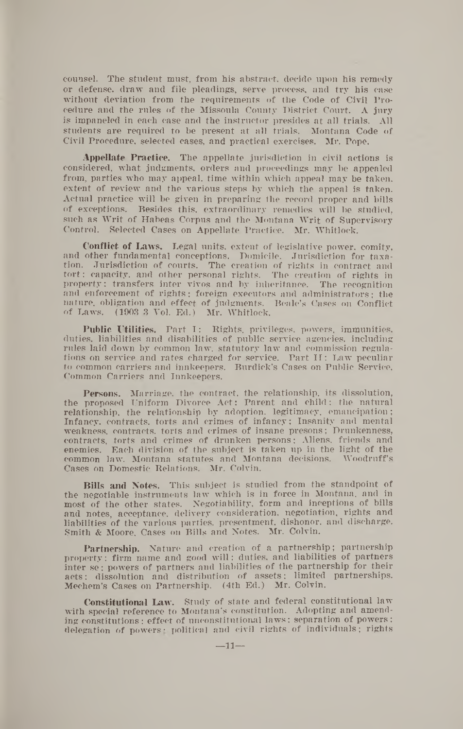counsel. The student must, from his abstract, decide upon his remedy or defense, draw and file pleadings, serve process, and try his case without deviation from the requirements of the Code of Civil Procedure and the rules of the Missoula County District Court. A jury is impaneled in each case and the instructor presides at all trials. All students are required to be present at all trials. Montana Code of Civil Procedure, selected cases, and practical exercises. Mr. Pope.

Appellate Practice. The appellate jurisdiction in civil actions is considered, what judgments, orders and proceedings may be appealed from, parties who may appeal, time within which appeal may be taken, extent of review and the various steps by which the appeal is taken. Actual practice will be given in preparing the record proper and bills of exceptions. Besides this, extraordinary remedies will be studied, such as Writ of Habeas Corpus and the Montana Writ of Supervisory Control. Selected Cases on Appellate Practice. Mr. Whitlock.

Conflict of Laws. Legal units, extent of legislative power, comity, and other fundamental conceptions. Domicile. Jurisdiction for taxation. Jurisdiction of courts. The creation of rights in contract and tort: capacity, and other personal rights. The creation of rights in property: transfers inter vivos and by inheritance. The recognition and enforcement of rights; foreign executors and administrators; the nature, obligation and effect of judgments. Beale's Cases on Conflict of Laws. (1903 3 Vol. Ed.)

Public Utilities. Part I: Rights, privileges, powers, immunities. duties, liabilities and disabilities of public service agencies, including rules laid down by common law, statutory law and commission regulations on service and rates charged for service. Part II: Law peculiar to common carriers and innkeepers. Burdick's Cases on Public Service, Common Carriers and Innkeepers.

Persons. Marriage, the contract, the relationship, its dissolution, the proposed Uniform Divorce Act: Parent and child; the natural relationship, the relationship by adoption, legitimacy, emancipation; Infancy, contracts, torts and crimes of infancy; Insanity and mental weakness, contracts, torts and crimes of insane presons; Drunkenness, contracts, torts and crimes of drunken persons; Aliens, friends and enemies. Each division of the subject is taken up in the light of the common law, Montana statutes and Montana decisions. Woodruff's Cases on Domestic Relations. Mr. Colvin.

Bills and Notes. This subject is studied from the standpoint of the negotiable instruments law which is in force in Montana, and in most of the other states. Negotiability, form and inceptions of bills and notes, acceptance, delivery consideration, negotiation, rights and liabilities of the various parties, presentment, dishonor, and discharge. Smith & Moore, Cases on Bills and Notes. Mr. Colvin.

Partnership. Nature and creation of a partnership; partnership property; firm name and good will: duties, and liabilities of partners inter se; powers of partners and liabilities of the partnership for their acts; dissolution and distribution of assets; limited partnerships. Mechem's Cases on Partnership. (4th Ed.) Mr. Colvin.

Constitutional Law. Study of state and federal constitutional law with special reference to Montana's constitution. Adopting and amending constitutions: effect of unconstitutional laws; separation of powers; delegation of powers • political and civil rights of individuals; rights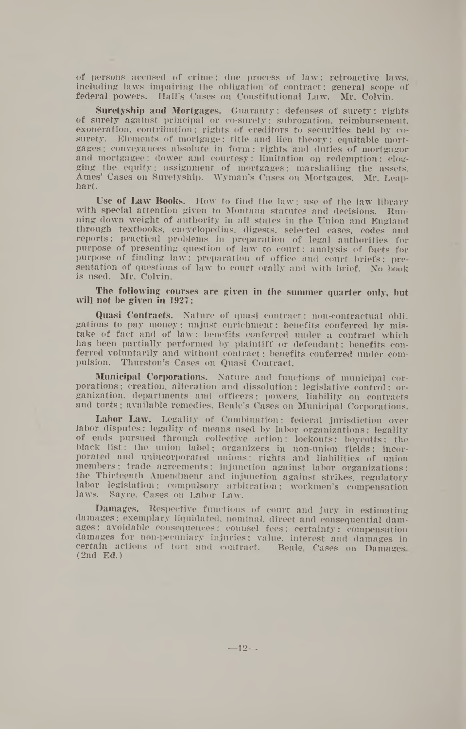of persons accused of crime; due process of law ; retroactive laws, including laws impairing the obligation of contract; general scope of federal powers. Hall's Cases on Constitutional Law. Mr. Colvin.

Suretyship and Mortgages. Guaranty; defenses of surety; rights of surety against principal or co-surety: subrogation, reimbursement, exoneration, contribution; rights of creditors to securities held by cosurety. Elements of mortgage; title and lien theory; equitable mortgages ; conveyances absolute in form : rights and duties of mortgagor and mortgagee: dower and courtesy; limitation on redemption; clogging the equity: assignment of mortgages; marshalling the assets. Ames' Cases on Suretyship. Wyman's Cases on Mortgages. Mr. Leaphart.

Use of Law Books. How to find the law; use of the law library with special attention given to Montana statutes and decisions. Running down weight of authority in all states in the Union and England through textbooks, encyclopedias, digests, selected cases, codes and reports; practical problems in preparation of legal authorities for purpose of presenting question of law to court; analysis of facts for purpose of finding law; preparation of office and court briefs; presentation of questions of law to court orally and with brief. No book is used. Mr. Colvin.

The following courses are given in the summer quarter only, but will not be given in 1927:

Quasi Contracts. Nature of quasi contract: non-contractual obligations to pay money; unjust enrichment; benefits conferred by mistake of fact and of law; benefits conferred under a contract which has been partially performed by plaintiff or defendant; benefits conferred voluntarily and without contract; benefits conferred under compulsion. Thurston's Cases on Quasi Contract.

Municipal Corporations. Nature and functions of municipal corporations ; creation, alteration and dissolution; legislative control: organization, departments and officers; powers, liability on contracts and torts; available remedies. Beale's Cases on Municipal Corporations.

Labor Law. Legality of Combination; federal jurisdiction over labor disputes; legality of means used by labor organizations; legality of ends pursued through collective action: lockouts; boycotts: the black list; the union label; organizers in non-union fields; incorporated and unincorporated unions; rights and liabilities of union members; trade agreements: injunction against labor organizations; the Thirteenth Amendment and injunction against strikes, regulatory labor legislation; compulsory arbitration; workmen's compensation laws. Sayre, Cases on Labor Law.

Damages. Respective functions of court and jury in estimating damages; exemplary liquidated, nominal, direct and consequential damages ; avoidable consequences; counsel fees; certainty; compensation damages for non-pecuniary injuries; value, interest and damages in certain actions of tort and contract. Beale Cases on Damages certain actions of tort and contract. (2nd Ed.)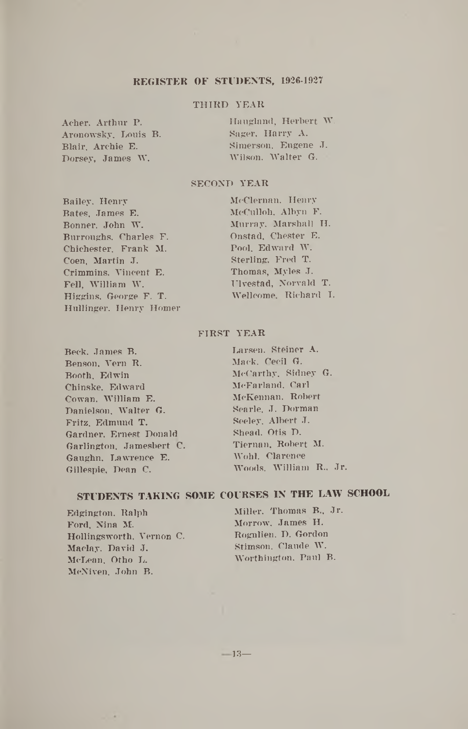#### REGISTER OF STUDENTS, 1926-1927

#### THIRD YEAR

Aeher, Arthur P. Aronowsky, Louis B. Blair, Archie E. Dorsey, James W.

Haugland, Herbert W, Sager, Harry A. Simerson, Eugene J. Wilson, Walter G.

#### SECOND YEAR

Bailey, Henry Bates, James E. Bonner. John W. Burroughs, Charles F. Chichester. Frank M. Coen, Martin J. Crimmins, Vincent E. Fell, William W. Higgins, George F. T. Hullinger. Henry Homer McClernan, Henry MeCulloh, Albyn F. Murray, Marshall H. Onstad, Chester E. Pool, Edward W. Sterling, Fred T. Thomas, Myles J. I'lvestad, Norvald T. Wellcome, Richard I.

#### FIRST YEAR

Beck, James B. Benson, Vern R. Booth. Edwin Chinske, Edward Cowan, William E. Danielson. Walter G. Fritz. Edmund T. Gardner, Ernest Donald Garlington, Jamesbert C. Gaughn, Lawrence E. Gillespie, Dean C.

Larsen. Steiner A. Mack. Cecil G. McCarthy, Sidney G. McFarland, Carl McKennan. Robert Searle, J. Dorman Seeley, Albert J. Shead, Otis D. Tiernan, Robert M. Wohl, Clarence Woods. William R., Jr.

## STUDENTS TAKING SOME COURSES IN THE LAW SCHOOL

Edgington, Ralph Ford, Nina M. Hollingsworth. Vernon C. Maclay, David J. McLean, Otho L. McNiven, John B.

Miller, Thomas B., Jr. Morrow, James H. Rognlien, D. Gordon Stimson. Claude W. Worthington, Paul B.

**13**—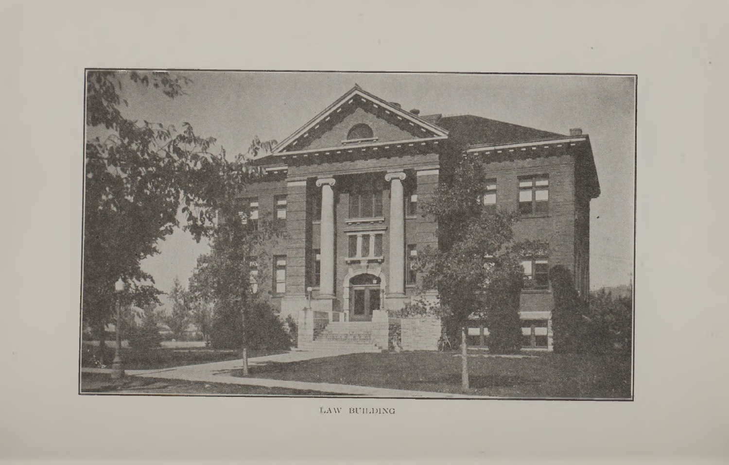

 $\sim$ 

LAW BUILDING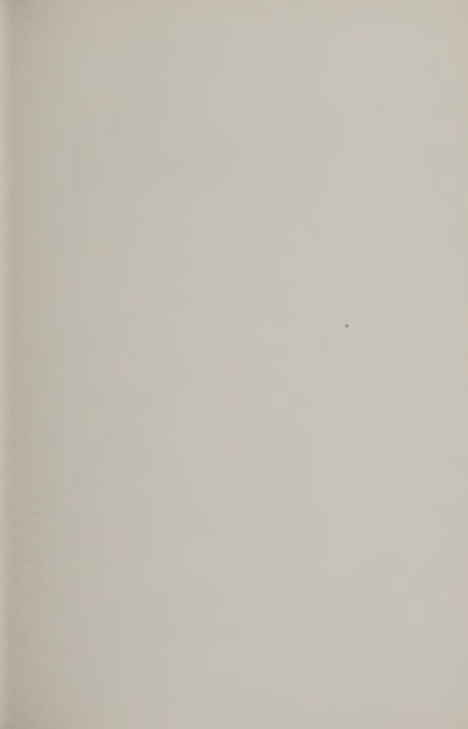